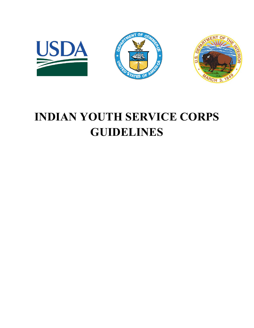

# **INDIAN YOUTH SERVICE CORPS GUIDELINES**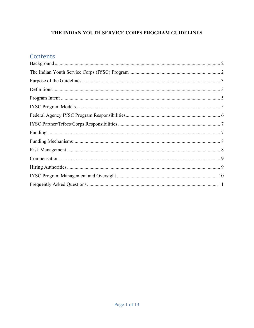# THE INDIAN YOUTH SERVICE CORPS PROGRAM GUIDELINES

# Contents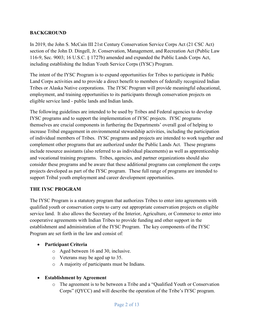# <span id="page-2-0"></span>**BACKGROUND**

In 2019, the John S. McCain III 21st Century Conservation Service Corps Act (21 CSC Act) section of the John D. Dingell, Jr. Conservation, Management, and Recreation Act (Public Law 116-9, Sec. 9003; 16 U.S.C. § 1727b) amended and expanded the Public Lands Corps Act, including establishing the Indian Youth Service Corps (IYSC) Program.

The intent of the IYSC Program is to expand opportunities for Tribes to participate in Public Land Corps activities and to provide a direct benefit to members of federally recognized Indian Tribes or Alaska Native corporations. The IYSC Program will provide meaningful educational, employment, and training opportunities to its participants through conservation projects on eligible service land - public lands and Indian lands.

The following guidelines are intended to be used by Tribes and Federal agencies to develop IYSC programs and to support the implementation of IYSC projects. IYSC programs themselves are crucial components in furthering the Departments' overall goal of helping to increase Tribal engagement in environmental stewardship activities, including the participation of individual members of Tribes. IYSC programs and projects are intended to work together and complement other programs that are authorized under the Public Lands Act. These programs include resource assistants (also referred to as individual placements) as well as apprenticeship and vocational training programs. Tribes, agencies, and partner organizations should also consider these programs and be aware that these additional programs can complement the corps projects developed as part of the IYSC program. These full range of programs are intended to support Tribal youth employment and career development opportunities.

# <span id="page-2-1"></span>**THE IYSC PROGRAM**

The IYSC Program is a statutory program that authorizes Tribes to enter into agreements with qualified youth or conservation corps to carry out appropriate conservation projects on eligible service land. It also allows the Secretary of the Interior, Agriculture, or Commerce to enter into cooperative agreements with Indian Tribes to provide funding and other support in the establishment and administration of the IYSC Program. The key components of the IYSC Program are set forth in the law and consist of:

# • **Participant Criteria**

- o Aged between 16 and 30, inclusive.
- o Veterans may be aged up to 35.
- o A majority of participants must be Indians.

# • **Establishment by Agreement**

o The agreement is to be between a Tribe and a "Qualified Youth or Conservation Corps" (QYCC) and will describe the operation of the Tribe's IYSC program.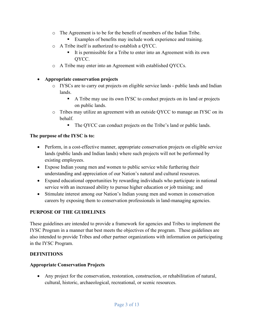- o The Agreement is to be for the benefit of members of the Indian Tribe.
	- Examples of benefits may include work experience and training.
- o A Tribe itself is authorized to establish a QYCC.
	- It is permissible for a Tribe to enter into an Agreement with its own QYCC.
- o A Tribe may enter into an Agreement with established QYCCs.

#### • **Appropriate conservation projects**

- o IYSCs are to carry out projects on eligible service lands public lands and Indian lands.
	- A Tribe may use its own IYSC to conduct projects on its land or projects on public lands.
- o Tribes may utilize an agreement with an outside QYCC to manage an IYSC on its behalf.
	- The QYCC can conduct projects on the Tribe's land or public lands.

#### **The purpose of the IYSC is to:**

- Perform, in a cost-effective manner, appropriate conservation projects on eligible service lands (public lands and Indian lands) where such projects will not be performed by existing employees.
- Expose Indian young men and women to public service while furthering their understanding and appreciation of our Nation's natural and cultural resources.
- Expand educational opportunities by rewarding individuals who participate in national service with an increased ability to pursue higher education or job training; and
- Stimulate interest among our Nation's Indian young men and women in conservation careers by exposing them to conservation professionals in land-managing agencies.

# <span id="page-3-0"></span>**PURPOSE OF THE GUIDELINES**

These guidelines are intended to provide a framework for agencies and Tribes to implement the IYSC Program in a manner that best meets the objectives of the program. These guidelines are also intended to provide Tribes and other partner organizations with information on participating in the IYSC Program.

# <span id="page-3-1"></span>**DEFINITIONS**

# **Appropriate Conservation Projects**

• Any project for the conservation, restoration, construction, or rehabilitation of natural, cultural, historic, archaeological, recreational, or scenic resources.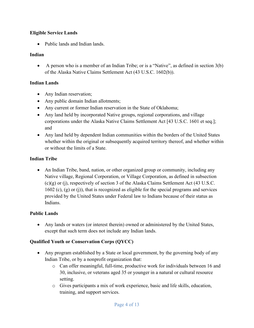# **Eligible Service Lands**

• Public lands and Indian lands.

# **Indian**

• A person who is a member of an Indian Tribe; or is a "Native", as defined in section 3(b) of the Alaska Native Claims Settlement Act (43 U.S.C. 1602(b)).

# **Indian Lands**

- Any Indian reservation;
- Any public domain Indian allotments;
- Any current or former Indian reservation in the State of Oklahoma;
- Any land held by incorporated Native groups, regional corporations, and village corporations under the Alaska Native Claims Settlement Act [43 U.S.C. 1601 et seq.]; and
- Any land held by dependent Indian communities within the borders of the United States whether within the original or subsequently acquired territory thereof, and whether within or without the limits of a State.

# **Indian Tribe**

• An Indian Tribe, band, nation, or other organized group or community, including any Native village, Regional Corporation, or Village Corporation, as defined in subsection (c)(g) or (j), respectively of section 3 of the Alaska Claims Settlement Act (43 U.S.C. 1602 (c), (g) or (j)), that is recognized as eligible for the special programs and services provided by the United States under Federal law to Indians because of their status as Indians.

# **Public Lands**

• Any lands or waters (or interest therein) owned or administered by the United States, except that such term does not include any Indian lands.

# **Qualified Youth or Conservation Corps (QYCC)**

- Any program established by a State or local government, by the governing body of any Indian Tribe, or by a nonprofit organization that:
	- o Can offer meaningful, full-time, productive work for individuals between 16 and 30, inclusive, or veterans aged 35 or younger in a natural or cultural resource setting.
	- o Gives participants a mix of work experience, basic and life skills, education, training, and support services.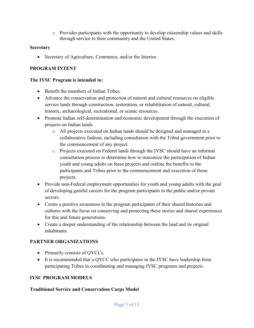o Provides participants with the opportunity to develop citizenship values and skills through service to their community and the United States.

#### **Secretary**

• Secretary of Agriculture, Commerce, and/or the Interior.

# <span id="page-5-0"></span>**PROGRAM INTENT**

# **The IYSC Program is intended to:**

- Benefit the members of Indian Tribes.
- Advance the conservation and protection of natural and cultural resources on eligible service lands through construction, restoration, or rehabilitation of natural, cultural, historic, archaeological, recreational, or scenic resources.
- Promote Indian self-determination and economic development through the execution of projects on Indian lands.
	- o All projects executed on Indian lands should be designed and managed in a collaborative fashion, including consultation with the Tribal government prior to the commencement of any project.
	- o Projects executed on Federal lands through the IYSC should have an informal consultation process to determine how to maximize the participation of Indian youth and young adults on these projects and outline the benefits to the participants and Tribes prior to the commencement and execution of those projects.
- Provide non-Federal employment opportunities for youth and young adults with the goal of developing gainful careers for the program participants in the public and/or private sectors.
- Create a positive awareness in the program participants of their shared histories and cultures with the focus on conserving and protecting these stories and shared experiences for this and future generations.
- Create a deeper understanding of the relationship between the land and its original inhabitants.

# **PARTNER ORGANIZATIONS**

- Primarily consists of QYCCs.
- It is recommended that a QYCC who participates in the IYSC have leadership from participating Tribes in coordinating and managing IYSC programs and projects.

# <span id="page-5-1"></span>**IYSC PROGRAM MODELS**

# **Traditional Service and Conservation Corps Model**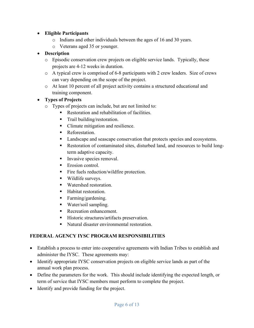# • **Eligible Participants**

- o Indians and other individuals between the ages of 16 and 30 years.
- o Veterans aged 35 or younger.

# • **Description**

- o Episodic conservation crew projects on eligible service lands. Typically, these projects are 4-12 weeks in duration.
- o A typical crew is comprised of 6-8 participants with 2 crew leaders. Size of crews can vary depending on the scope of the project.
- o At least 10 percent of all project activity contains a structured educational and training component.

# • **Types of Projects**

- o Types of projects can include, but are not limited to:
	- Restoration and rehabilitation of facilities.
	- **Trail building/restoration.**
	- Climate mitigation and resilience.
	- **Reforestation.**
	- **Landscape and seascape conservation that protects species and ecosystems.**
	- Restoration of contaminated sites, disturbed land, and resources to build longterm adaptive capacity.
	- Invasive species removal.
	- $\blacksquare$  Erosion control.
	- Fire fuels reduction/wildfire protection.
	- **Wildlife surveys.**
	- Watershed restoration.
	- Habitat restoration.
	- Farming/gardening.
	- Water/soil sampling.
	- Recreation enhancement.
	- **Historic structures/artifacts preservation.**
	- Natural disaster environmental restoration.

# <span id="page-6-0"></span>**FEDERAL AGENCY IYSC PROGRAM RESPONSIBILITIES**

- Establish a process to enter into cooperative agreements with Indian Tribes to establish and administer the IYSC. These agreements may:
- Identify appropriate IYSC conservation projects on eligible service lands as part of the annual work plan process.
- Define the parameters for the work. This should include identifying the expected length, or term of service that IYSC members must perform to complete the project.
- Identify and provide funding for the project.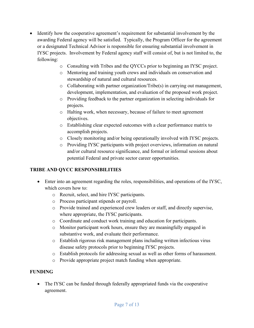- Identify how the cooperative agreement's requirement for substantial involvement by the awarding Federal agency will be satisfied. Typically, the Program Officer for the agreement or a designated Technical Advisor is responsible for ensuring substantial involvement in IYSC projects. Involvement by Federal agency staff will consist of, but is not limited to, the following:
	- o Consulting with Tribes and the QYCCs prior to beginning an IYSC project.
	- o Mentoring and training youth crews and individuals on conservation and stewardship of natural and cultural resources.
	- o Collaborating with partner organization/Tribe(s) in carrying out management, development, implementation, and evaluation of the proposed work project.
	- o Providing feedback to the partner organization in selecting individuals for projects.
	- o Halting work, when necessary, because of failure to meet agreement objectives.
	- o Establishing clear expected outcomes with a clear performance matrix to accomplish projects.
	- o Closely monitoring and/or being operationally involved with IYSC projects.
	- o Providing IYSC participants with project overviews, information on natural and/or cultural resource significance, and formal or informal sessions about potential Federal and private sector career opportunities.

# <span id="page-7-0"></span>**TRIBE AND QYCC RESPONSIBILITIES**

- Enter into an agreement regarding the roles, responsibilities, and operations of the IYSC, which covers how to:
	- o Recruit, select, and hire IYSC participants.
	- o Process participant stipends or payroll.
	- o Provide trained and experienced crew leaders or staff, and directly supervise, where appropriate, the IYSC participants.
	- o Coordinate and conduct work training and education for participants.
	- o Monitor participant work hours, ensure they are meaningfully engaged in substantive work, and evaluate their performance.
	- o Establish rigorous risk management plans including written infectious virus disease safety protocols prior to beginning IYSC projects.
	- o Establish protocols for addressing sexual as well as other forms of harassment.
	- o Provide appropriate project match funding when appropriate.

# <span id="page-7-1"></span>**FUNDING**

• The IYSC can be funded through federally appropriated funds via the cooperative agreement.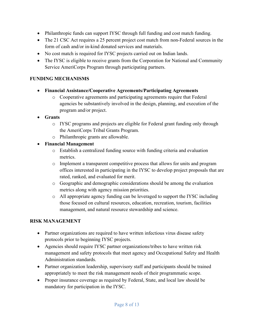- Philanthropic funds can support IYSC through full funding and cost match funding.
- The 21 CSC Act requires a 25 percent project cost match from non-Federal sources in the form of cash and/or in-kind donated services and materials.
- No cost match is required for IYSC projects carried out on Indian lands.
- The IYSC is eligible to receive grants from the Corporation for National and Community Service AmeriCorps Program through participating partners.

# <span id="page-8-0"></span>**FUNDING MECHANISMS**

- **Financial Assistance/Cooperative Agreements/Participating Agreements**
	- o Cooperative agreements and participating agreements require that Federal agencies be substantively involved in the design, planning, and execution of the program and/or project.
- **Grants**
	- o IYSC programs and projects are eligible for Federal grant funding only through the AmeriCorps Tribal Grants Program.
	- o Philanthropic grants are allowable.
- **Financial Management**
	- o Establish a centralized funding source with funding criteria and evaluation metrics.
	- o Implement a transparent competitive process that allows for units and program offices interested in participating in the IYSC to develop project proposals that are rated, ranked, and evaluated for merit.
	- o Geographic and demographic considerations should be among the evaluation metrics along with agency mission priorities.
	- o All appropriate agency funding can be leveraged to support the IYSC including those focused on cultural resources, education, recreation, tourism, facilities management, and natural resource stewardship and science.

# <span id="page-8-1"></span>**RISK MANAGEMENT**

- Partner organizations are required to have written infectious virus disease safety protocols prior to beginning IYSC projects.
- Agencies should require IYSC partner organizations/tribes to have written risk management and safety protocols that meet agency and Occupational Safety and Health Administration standards.
- Partner organization leadership, supervisory staff and participants should be trained appropriately to meet the risk management needs of their programmatic scope.
- Proper insurance coverage as required by Federal, State, and local law should be mandatory for participation in the IYSC.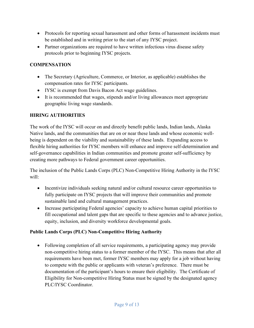- Protocols for reporting sexual harassment and other forms of harassment incidents must be established and in writing prior to the start of any IYSC project.
- Partner organizations are required to have written infectious virus disease safety protocols prior to beginning IYSC projects.

# <span id="page-9-0"></span>**COMPENSATION**

- The Secretary (Agriculture, Commerce, or Interior, as applicable) establishes the compensation rates for IYSC participants.
- IYSC is exempt from Davis Bacon Act wage guidelines.
- It is recommended that wages, stipends and/or living allowances meet appropriate geographic living wage standards.

# <span id="page-9-1"></span>**HIRING AUTHORITIES**

The work of the IYSC will occur on and directly benefit public lands, Indian lands, Alaska Native lands, and the communities that are on or near these lands and whose economic wellbeing is dependent on the viability and sustainability of these lands. Expanding access to flexible hiring authorities for IYSC members will enhance and improve self-determination and self-governance capabilities in Indian communities and promote greater self-sufficiency by creating more pathways to Federal government career opportunities.

The inclusion of the Public Lands Corps (PLC) Non-Competitive Hiring Authority in the IYSC will:

- Incentivize individuals seeking natural and/or cultural resource career opportunities to fully participate on IYSC projects that will improve their communities and promote sustainable land and cultural management practices.
- Increase participating Federal agencies' capacity to achieve human capital priorities to fill occupational and talent gaps that are specific to these agencies and to advance justice, equity, inclusion, and diversity workforce developmental goals.

# **Public Lands Corps (PLC) Non-Competitive Hiring Authority**

• Following completion of all service requirements, a participating agency may provide non-competitive hiring status to a former member of the IYSC. This means that after all requirements have been met, former IYSC members may apply for a job without having to compete with the public or applicants with veteran's preference. There must be documentation of the participant's hours to ensure their eligibility. The Certificate of Eligibility for Non-competitive Hiring Status must be signed by the designated agency PLC/IYSC Coordinator.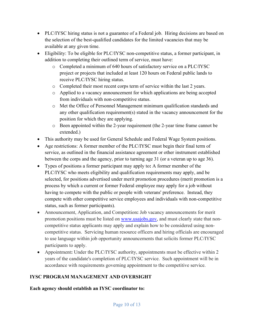- PLC/IYSC hiring status is not a guarantee of a Federal job. Hiring decisions are based on the selection of the best-qualified candidates for the limited vacancies that may be available at any given time.
- Eligibility: To be eligible for PLC/IYSC non-competitive status, a former participant, in addition to completing their outlined term of service, must have:
	- o Completed a minimum of 640 hours of satisfactory service on a PLC/IYSC project or projects that included at least 120 hours on Federal public lands to receive PLC/IYSC hiring status.
	- o Completed their most recent corps term of service within the last 2 years.
	- o Applied to a vacancy announcement for which applications are being accepted from individuals with non-competitive status.
	- o Met the Office of Personnel Management minimum qualification standards and any other qualification requirement(s) stated in the vacancy announcement for the position for which they are applying.
	- o Been appointed within the 2-year requirement (the 2-year time frame cannot be extended.)
- This authority may be used for General Schedule and Federal Wage System positions.
- Age restrictions: A former member of the PLC/IYSC must begin their final term of service, as outlined in the financial assistance agreement or other instrument established between the corps and the agency, prior to turning age 31 (or a veteran up to age 36).
- Types of positions a former participant may apply to**:** A former member of the PLC/IYSC who meets eligibility and qualification requirements may apply, and be selected, for positions advertised under merit promotion procedures (merit promotion is a process by which a current or former Federal employee may apply for a job without having to compete with the public or people with veterans' preference. Instead, they compete with other competitive service employees and individuals with non-competitive status, such as former participants).
- Announcement, Application, and Competition**:** Job vacancy announcements for merit promotion positions must be listed on [www.usajobs.gov,](http://www.usajobs.gov/) and must clearly state that noncompetitive status applicants may apply and explain how to be considered using noncompetitive status. Servicing human resource officers and hiring officials are encouraged to use language within job opportunity announcements that solicits former PLC/IYSC participants to apply.
- Appointment: Under the PLC/IYSC authority, appointments must be effective within 2 years of the candidate's completion of PLC/IYSC service. Such appointment will be in accordance with requirements governing appointment to the competitive service.

# <span id="page-10-0"></span>**IYSC PROGRAM MANAGEMENT AND OVERSIGHT**

**Each agency should establish an IYSC coordinator to:**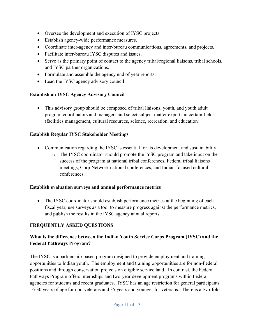- Oversee the development and execution of IYSC projects.
- Establish agency-wide performance measures.
- Coordinate inter-agency and inter-bureau communications, agreements, and projects.
- Facilitate inter-bureau IYSC disputes and issues.
- Serve as the primary point of contact to the agency tribal/regional liaisons, tribal schools, and IYSC partner organizations.
- Formulate and assemble the agency end of year reports.
- Lead the IYSC agency advisory council.

#### **Establish an IYSC Agency Advisory Council**

• This advisory group should be composed of tribal liaisons, youth, and youth adult program coordinators and managers and select subject matter experts in certain fields (facilities management, cultural resources, science, recreation, and education).

#### **Establish Regular IYSC Stakeholder Meetings**

- Communication regarding the IYSC is essential for its development and sustainability.
	- o The IYSC coordinator should promote the IYSC program and take input on the success of the program at national tribal conferences, Federal tribal liaisons meetings, Corp Network national conferences, and Indian-focused cultural conferences.

#### **Establish evaluation surveys and annual performance metrics**

• The IYSC coordinator should establish performance metrics at the beginning of each fiscal year, use surveys as a tool to measure progress against the performance metrics, and publish the results in the IYSC agency annual reports.

# <span id="page-11-0"></span>**FREQUENTLY ASKED QUESTIONS**

# **What is the difference between the Indian Youth Service Corps Program (IYSC) and the Federal Pathways Program?**

The IYSC is a partnership-based program designed to provide employment and training opportunities to Indian youth. The employment and training opportunities are for non-Federal positions and through conservation projects on eligible service land. In contrast, the Federal Pathways Program offers internships and two-year development programs within Federal agencies for students and recent graduates. IYSC has an age restriction for general participants 16-30 years of age for non-veterans and 35 years and younger for veterans. There is a two-fold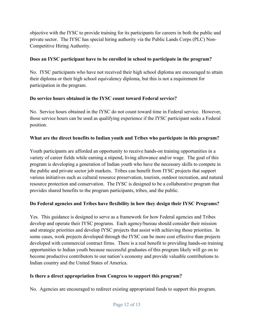objective with the IYSC to provide training for its participants for careers in both the public and private sector. The IYSC has special hiring authority via the Public Lands Corps (PLC) Non-Competitive Hiring Authority.

# **Does an IYSC participant have to be enrolled in school to participate in the program?**

No. IYSC participants who have not received their high school diploma are encouraged to attain their diploma or their high school equivalency diploma, but this is not a requirement for participation in the program.

# **Do service hours obtained in the IYSC count toward Federal service?**

No. Service hours obtained in the IYSC do not count toward time in Federal service. However, those service hours can be used as qualifying experience if the IYSC participant seeks a Federal position.

# **What are the direct benefits to Indian youth and Tribes who participate in this program?**

Youth participants are afforded an opportunity to receive hands-on training opportunities in a variety of career fields while earning a stipend, living allowance and/or wage. The goal of this program is developing a generation of Indian youth who have the necessary skills to compete in the public and private sector job markets. Tribes can benefit from IYSC projects that support various initiatives such as cultural resource preservation, tourism, outdoor recreation, and natural resource protection and conservation. The IYSC is designed to be a collaborative program that provides shared benefits to the program participants, tribes, and the public.

# **Do Federal agencies and Tribes have flexibility in how they design their IYSC Programs?**

Yes. This guidance is designed to serve as a framework for how Federal agencies and Tribes develop and operate their IYSC programs. Each agency/bureau should consider their mission and strategic priorities and develop IYSC projects that assist with achieving those priorities. In some cases, work projects developed through the IYSC can be more cost effective than projects developed with commercial contract firms. There is a real benefit to providing hands-on training opportunities to Indian youth because successful graduates of this program likely will go on to become productive contributors to our nation's economy and provide valuable contributions to Indian country and the United States of America.

# **Is there a direct appropriation from Congress to support this program?**

No. Agencies are encouraged to redirect existing appropriated funds to support this program.